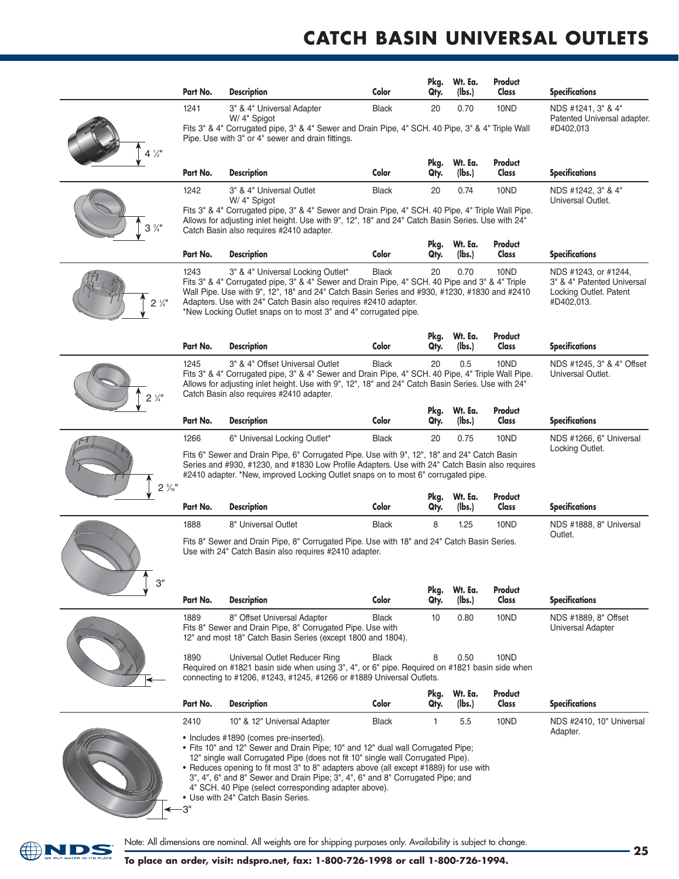## **CATCH BASiN uNivErSAL OuTLETS**

|                 | Part No.                                                                                                                                                                                                                                                                                                                                                                                                                | <b>Description</b>                                                                                                                                                                                                                                                                                                                                                                                                                                                                     | Color        | Pkg.<br>Qty. | Wt. Ea.<br>(lbs.) | Product<br>Class                                                                           | <b>Specifications</b>                             |  |  |
|-----------------|-------------------------------------------------------------------------------------------------------------------------------------------------------------------------------------------------------------------------------------------------------------------------------------------------------------------------------------------------------------------------------------------------------------------------|----------------------------------------------------------------------------------------------------------------------------------------------------------------------------------------------------------------------------------------------------------------------------------------------------------------------------------------------------------------------------------------------------------------------------------------------------------------------------------------|--------------|--------------|-------------------|--------------------------------------------------------------------------------------------|---------------------------------------------------|--|--|
|                 | 1241                                                                                                                                                                                                                                                                                                                                                                                                                    | 3" & 4" Universal Adapter<br>W/4" Spigot                                                                                                                                                                                                                                                                                                                                                                                                                                               | <b>Black</b> | 20           | 0.70              | 10ND                                                                                       | NDS #1241, 3" & 4"<br>Patented Universal adapter. |  |  |
|                 |                                                                                                                                                                                                                                                                                                                                                                                                                         | Fits 3" & 4" Corrugated pipe, 3" & 4" Sewer and Drain Pipe, 4" SCH. 40 Pipe, 3" & 4" Triple Wall<br>#D402,013<br>Pipe. Use with 3" or 4" sewer and drain fittings.                                                                                                                                                                                                                                                                                                                     |              |              |                   |                                                                                            |                                                   |  |  |
| $4\frac{1}{2}$  | Part No.                                                                                                                                                                                                                                                                                                                                                                                                                | <b>Description</b>                                                                                                                                                                                                                                                                                                                                                                                                                                                                     | Color        | Pkg.<br>Qty. | Wt. Ea.<br>(Ibs.) | Product<br>Class                                                                           | <b>Specifications</b>                             |  |  |
|                 | 1242                                                                                                                                                                                                                                                                                                                                                                                                                    | 3" & 4" Universal Outlet<br>W/ 4" Spigot                                                                                                                                                                                                                                                                                                                                                                                                                                               | <b>Black</b> | 20           | 0.74              | 10ND                                                                                       | NDS #1242, 3" & 4"                                |  |  |
| $3\frac{3}{4}$  | Fits 3" & 4" Corrugated pipe, 3" & 4" Sewer and Drain Pipe, 4" SCH. 40 Pipe, 4" Triple Wall Pipe.<br>Allows for adjusting inlet height. Use with 9", 12", 18" and 24" Catch Basin Series. Use with 24"<br>Catch Basin also requires #2410 adapter.                                                                                                                                                                      | Universal Outlet.                                                                                                                                                                                                                                                                                                                                                                                                                                                                      |              |              |                   |                                                                                            |                                                   |  |  |
|                 | Part No.                                                                                                                                                                                                                                                                                                                                                                                                                | <b>Description</b>                                                                                                                                                                                                                                                                                                                                                                                                                                                                     | Color        | Pkg.<br>Qty. | Wt. Ea.<br>(lbs.) | Product<br>Class                                                                           | <b>Specifications</b>                             |  |  |
| $2\frac{1}{4}$  | 10ND<br>1243<br>3" & 4" Universal Locking Outlet*<br><b>Black</b><br>20<br>0.70<br>Fits 3" & 4" Corrugated pipe, 3" & 4" Sewer and Drain Pipe, 4" SCH. 40 Pipe and 3" & 4" Triple<br>Wall Pipe. Use with 9", 12", 18" and 24" Catch Basin Series and #930, #1230, #1830 and #2410<br>Adapters. Use with 24" Catch Basin also requires #2410 adapter.<br>*New Locking Outlet snaps on to most 3" and 4" corrugated pipe. |                                                                                                                                                                                                                                                                                                                                                                                                                                                                                        |              |              |                   | NDS #1243, or #1244,<br>3" & 4" Patented Universal<br>Locking Outlet. Patent<br>#D402,013. |                                                   |  |  |
|                 | Part No.                                                                                                                                                                                                                                                                                                                                                                                                                | <b>Description</b>                                                                                                                                                                                                                                                                                                                                                                                                                                                                     | Color        | Pkg.<br>Qty. | Wt. Ea.<br>(lbs.) | Product<br>Class                                                                           | <b>Specifications</b>                             |  |  |
| $2\frac{1}{4}$  | 1245                                                                                                                                                                                                                                                                                                                                                                                                                    | 20<br>0.5<br>3" & 4" Offset Universal Outlet<br><b>Black</b><br>10ND<br>NDS #1245, 3" & 4" Offset<br>Fits 3" & 4" Corrugated pipe, 3" & 4" Sewer and Drain Pipe, 4" SCH. 40 Pipe, 4" Triple Wall Pipe.<br>Universal Outlet.<br>Allows for adjusting inlet height. Use with 9", 12", 18" and 24" Catch Basin Series. Use with 24"<br>Catch Basin also requires #2410 adapter.                                                                                                           |              |              |                   |                                                                                            |                                                   |  |  |
|                 | Part No.                                                                                                                                                                                                                                                                                                                                                                                                                | <b>Description</b>                                                                                                                                                                                                                                                                                                                                                                                                                                                                     | Color        | Pkg.<br>Qty. | Wt. Ea.<br>(lbs.) | Product<br>Class                                                                           | <b>Specifications</b>                             |  |  |
|                 | 1266                                                                                                                                                                                                                                                                                                                                                                                                                    | 6" Universal Locking Outlet*                                                                                                                                                                                                                                                                                                                                                                                                                                                           | <b>Black</b> | 20           | 0.75              | 10ND                                                                                       | NDS #1266, 6" Universal                           |  |  |
| $2\frac{5}{16}$ | Fits 6" Sewer and Drain Pipe, 6" Corrugated Pipe. Use with 9", 12", 18" and 24" Catch Basin<br>Series and #930, #1230, and #1830 Low Profile Adapters. Use with 24" Catch Basin also requires<br>#2410 adapter. *New, improved Locking Outlet snaps on to most 6" corrugated pipe.                                                                                                                                      | Locking Outlet.                                                                                                                                                                                                                                                                                                                                                                                                                                                                        |              |              |                   |                                                                                            |                                                   |  |  |
|                 | Part No.                                                                                                                                                                                                                                                                                                                                                                                                                | <b>Description</b>                                                                                                                                                                                                                                                                                                                                                                                                                                                                     | Color        | Pkg.<br>Qty. | Wt. Ea.<br>(lbs.) | Product<br>Class                                                                           | <b>Specifications</b>                             |  |  |
|                 | 1888                                                                                                                                                                                                                                                                                                                                                                                                                    | 8" Universal Outlet                                                                                                                                                                                                                                                                                                                                                                                                                                                                    | <b>Black</b> | 8            | 1.25              | 10ND                                                                                       | NDS #1888, 8" Universal<br>Outlet.                |  |  |
| 3"              | Fits 8" Sewer and Drain Pipe, 8" Corrugated Pipe. Use with 18" and 24" Catch Basin Series.<br>Use with 24" Catch Basin also requires #2410 adapter.                                                                                                                                                                                                                                                                     |                                                                                                                                                                                                                                                                                                                                                                                                                                                                                        |              |              |                   |                                                                                            |                                                   |  |  |
|                 | Part No.                                                                                                                                                                                                                                                                                                                                                                                                                | <b>Description</b>                                                                                                                                                                                                                                                                                                                                                                                                                                                                     | Color        | Pkg.<br>Qty. | Wt. Ea.<br>(lbs.) | Product<br>Class                                                                           | <b>Specifications</b>                             |  |  |
|                 | 1889                                                                                                                                                                                                                                                                                                                                                                                                                    | 8" Offset Universal Adapter<br>Fits 8" Sewer and Drain Pipe, 8" Corrugated Pipe. Use with<br>12" and most 18" Catch Basin Series (except 1800 and 1804).                                                                                                                                                                                                                                                                                                                               | <b>Black</b> | 10           | 0.80              | 10ND                                                                                       | NDS #1889, 8" Offset<br>Universal Adapter         |  |  |
|                 | 1890                                                                                                                                                                                                                                                                                                                                                                                                                    | Universal Outlet Reducer Ring<br>Required on #1821 basin side when using 3", 4", or 6" pipe. Required on #1821 basin side when<br>connecting to #1206, #1243, #1245, #1266 or #1889 Universal Outlets.                                                                                                                                                                                                                                                                                 | <b>Black</b> | 8            | 0.50              | 10ND                                                                                       |                                                   |  |  |
|                 | Part No.                                                                                                                                                                                                                                                                                                                                                                                                                | <b>Description</b>                                                                                                                                                                                                                                                                                                                                                                                                                                                                     | Color        | Pkg.<br>Qty. | Wt. Ea.<br>(lbs.) | Product<br>Class                                                                           | <b>Specifications</b>                             |  |  |
|                 | 2410                                                                                                                                                                                                                                                                                                                                                                                                                    | 10" & 12" Universal Adapter                                                                                                                                                                                                                                                                                                                                                                                                                                                            | <b>Black</b> | 1            | 5.5               | 10ND                                                                                       | NDS #2410, 10" Universal                          |  |  |
|                 | 3"                                                                                                                                                                                                                                                                                                                                                                                                                      | • Includes #1890 (comes pre-inserted).<br>. Fits 10" and 12" Sewer and Drain Pipe; 10" and 12" dual wall Corrugated Pipe;<br>12" single wall Corrugated Pipe (does not fit 10" single wall Corrugated Pipe).<br>• Reduces opening to fit most 3" to 8" adapters above (all except #1889) for use with<br>3", 4", 6" and 8" Sewer and Drain Pipe; 3", 4", 6" and 8" Corrugated Pipe; and<br>4" SCH. 40 Pipe (select corresponding adapter above).<br>• Use with 24" Catch Basin Series. |              |              |                   |                                                                                            | Adapter.                                          |  |  |



Note: All dimensions are nominal. All weights are for shipping purposes only. Availability is subject to change.<br>
25